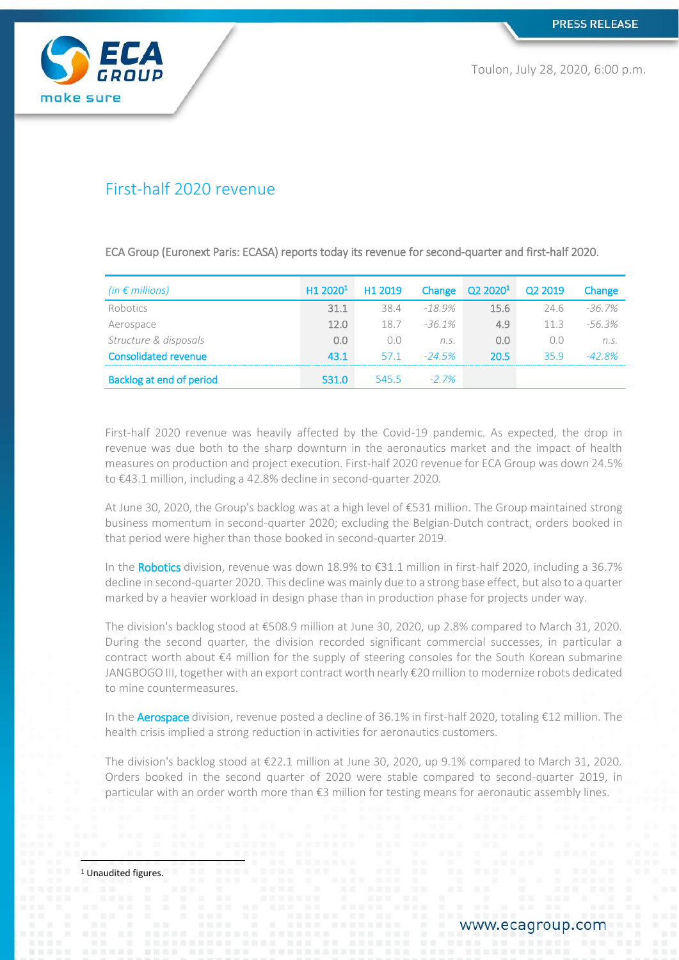

Toulon, July 28, 2020, 6:00 p.m.

# First-half 2020 revenue

ECA Group (Euronext Paris: ECASA) reports today its revenue for second-quarter and first-half 2020.

| (in $\epsilon$ millions)        | H1 2020 <sup>1</sup> | H1 2019 |           | Change Q2 2020 <sup>1</sup> Q2 2019 |      | Change    |
|---------------------------------|----------------------|---------|-----------|-------------------------------------|------|-----------|
| Robotics                        | 31.1                 | 38.4    | -18.9%    | 15.6                                | 74.6 | $-36.7\%$ |
| Aerospace                       | 120                  | 18.7    | $-36.1\%$ | 4.9                                 | 113  | $-56.3%$  |
| Structure & disposals           | 0.0                  |         | n.S.      | 0.0                                 | n n  | n.S.      |
| <b>Consolidated revenue</b>     | 43.1                 | 57.1    | $-24.5%$  | 20.5                                | 359  | $-42.8%$  |
| <b>Backlog at end of period</b> | 531 O                | 545.5   | $-27\%$   |                                     |      |           |

First-half 2020 revenue was heavily affected by the Covid-19 pandemic. As expected, the drop in revenue was due both to the sharp downturn in the aeronautics market and the impact of health measures on production and project execution. First-half 2020 revenue for ECA Group was down 24.5% to €43.1 million, including a 42.8% decline in second-quarter 2020.

At June 30, 2020, the Group's backlog was at a high level of €531 million. The Group maintained strong business momentum in second-quarter 2020; excluding the Belgian-Dutch contract, orders booked in that period were higher than those booked in second-quarter 2019.

In the Robotics division, revenue was down 18.9% to €31.1 million in first-half 2020, including a 36.7% decline in second-quarter 2020. This decline was mainly due to a strong base effect, but also to a quarter marked by a heavier workload in design phase than in production phase for projects under way.

The division's backlog stood at €508.9 million at June 30, 2020, up 2.8% compared to March 31, 2020. During the second quarter, the division recorded significant commercial successes, in particular a contract worth about €4 million for the supply of steering consoles for the South Korean submarine JANGBOGO III, together with an export contract worth nearly €20 million to modernize robots dedicated to mine countermeasures.

In the Aerospace division, revenue posted a decline of 36.1% in first-half 2020, totaling €12 million. The health crisis implied a strong reduction in activities for aeronautics customers.

The division's backlog stood at €22.1 million at June 30, 2020, up 9.1% compared to March 31, 2020. Orders booked in the second quarter of 2020 were stable compared to second-quarter 2019, in particular with an order worth more than €3 million for testing means for aeronautic assembly lines.

<sup>1</sup> Unaudited figures.

 $\overline{\phantom{a}}$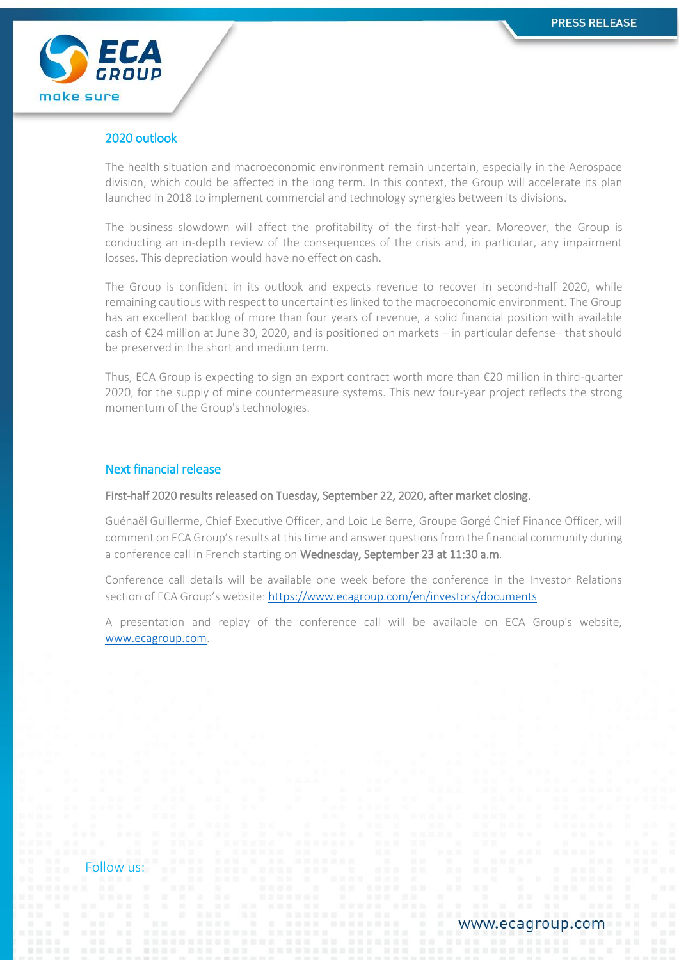

# 2020 outlook

The health situation and macroeconomic environment remain uncertain, especially in the Aerospace division, which could be affected in the long term. In this context, the Group will accelerate its plan launched in 2018 to implement commercial and technology synergies between its divisions.

The business slowdown will affect the profitability of the first-half year. Moreover, the Group is conducting an in-depth review of the consequences of the crisis and, in particular, any impairment losses. This depreciation would have no effect on cash.

The Group is confident in its outlook and expects revenue to recover in second-half 2020, while remaining cautious with respect to uncertainties linked to the macroeconomic environment. The Group has an excellent backlog of more than four years of revenue, a solid financial position with available cash of €24 million at June 30, 2020, and is positioned on markets – in particular defense– that should be preserved in the short and medium term.

Thus, ECA Group is expecting to sign an export contract worth more than €20 million in third-quarter 2020, for the supply of mine countermeasure systems. This new four-year project reflects the strong momentum of the Group's technologies.

# Next financial release

### First-half 2020 results released on Tuesday, September 22, 2020, after market closing.

Guénaël Guillerme, Chief Executive Officer, and Loïc Le Berre, Groupe Gorgé Chief Finance Officer, will comment on ECA Group's results at this time and answer questions from the financial community during a conference call in French starting on Wednesday, September 23 at 11:30 a.m.

Conference call details will be available one week before the conference in the Investor Relations section of ECA Group's website: <https://www.ecagroup.com/en/investors/documents>

A presentation and replay of the conference call will be available on ECA Group's website, [www.ecagroup.com.](http://www.ecagroup.com/)

Follow us: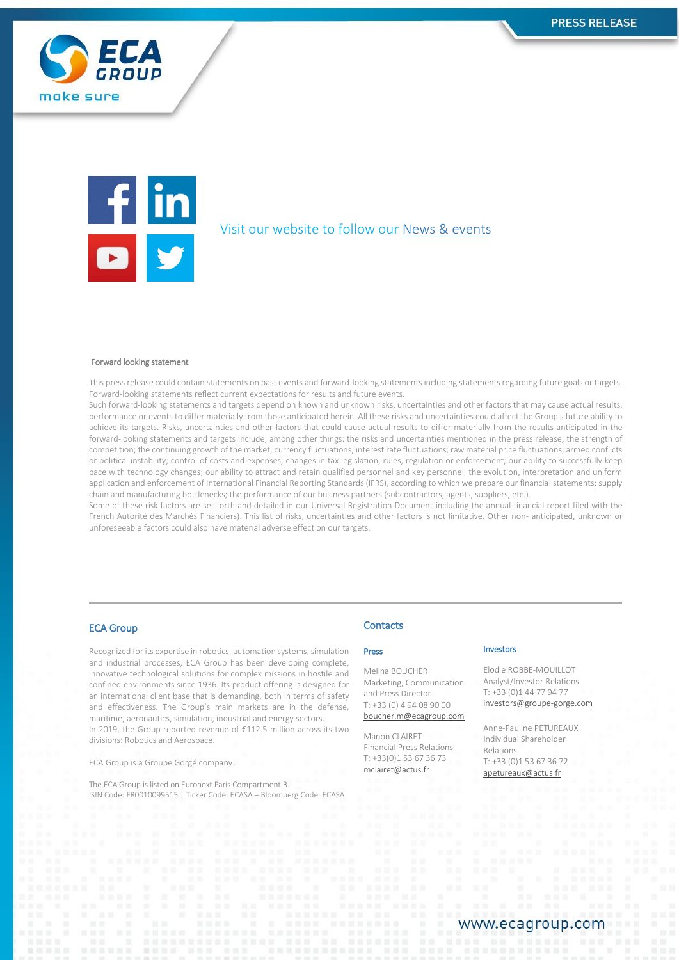



## Visit our website to follow our [News & events](https://www.ecagroup.com/en/news-stories)

#### Forward looking statement

This press release could contain statements on past events and forward-looking statements including statements regarding future goals or targets. Forward-looking statements reflect current expectations for results and future events.

Such forward-looking statements and targets depend on known and unknown risks, uncertainties and other factors that may cause actual results, performance or events to differ materially from those anticipated herein. All these risks and uncertainties could affect the Group's future ability to achieve its targets. Risks, uncertainties and other factors that could cause actual results to differ materially from the results anticipated in the forward-looking statements and targets include, among other things: the risks and uncertainties mentioned in the press release; the strength of competition; the continuing growth of the market; currency fluctuations; interest rate fluctuations; raw material price fluctuations; armed conflicts or political instability; control of costs and expenses; changes in tax legislation, rules, regulation or enforcement; our ability to successfully keep pace with technology changes; our ability to attract and retain qualified personnel and key personnel; the evolution, interpretation and uniform application and enforcement of International Financial Reporting Standards (IFRS), according to which we prepare our financial statements; supply chain and manufacturing bottlenecks; the performance of our business partners (subcontractors, agents, suppliers, etc.).

Some of these risk factors are set forth and detailed in our Universal Registration Document including the annual financial report filed with the French Autorité des Marchés Financiers). This list of risks, uncertainties and other factors is not limitative. Other non- anticipated, unknown or unforeseeable factors could also have material adverse effect on our targets.

### ECA Group

Recognized for its expertise in robotics, automation systems, simulation and industrial processes, ECA Group has been developing complete, innovative technological solutions for complex missions in hostile and confined environments since 1936. Its product offering is designed for an international client base that is demanding, both in terms of safety and effectiveness. The Group's main markets are in the defense, maritime, aeronautics, simulation, industrial and energy sectors. In 2019, the Group reported revenue of €112.5 million across its two divisions: Robotics and Aerospace.

ECA Group is a Groupe Gorgé company.

The ECA Group is listed on Euronext Paris Compartment B. ISIN Code: FR0010099515 | Ticker Code: ECASA – Bloomberg Code: ECASA

### **Contacts**

#### Press

Meliha BOUCHER Marketing, Communication and Press Director T: +33 (0) 4 94 08 90 00 [boucher.m@ecagroup.com](mailto:boucher.m@ecagroup.com)

Manon CLAIRET Financial Press Relations T: +33(0)1 53 67 36 73 [mclairet@actus.fr](mailto:mclairet@actus.fr)

#### Investors

Elodie ROBBE-MOUILLOT Analyst/Investor Relations T: +33 (0)1 44 77 94 77 [investors@groupe-gorge.com](mailto:investors@groupe-gorge.com)

Anne-Pauline PETUREAUX Individual Shareholder Relations T: +33 (0)1 53 67 36 72 [apetureaux@actus.fr](mailto:apetureaux@actus.fr)